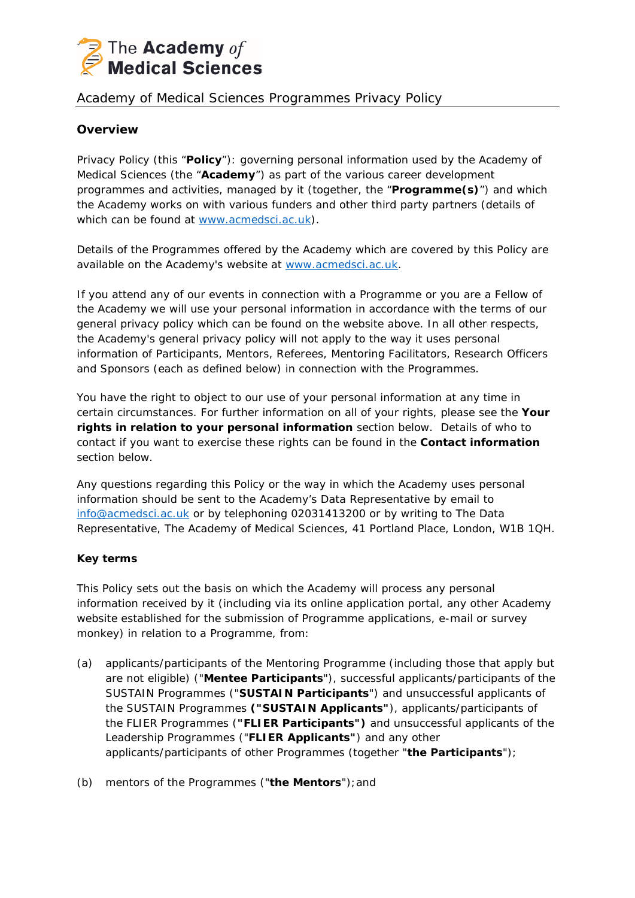

# Academy of Medical Sciences Programmes Privacy Policy

# **Overview**

Privacy Policy (this "**Policy**"): governing personal information used by the Academy of Medical Sciences (the "**Academy**") as part of the various career development programmes and activities, managed by it (together, the "**Programme(s)**") and which the Academy works on with various funders and other third party partners (details of which can be found at [www.acmedsci.ac.uk\)](http://www.acmedsci.ac.uk/).

Details of the Programmes offered by the Academy which are covered by this Policy are available on the Academy's website at [www.acmedsci.ac.uk.](http://www.acmedsci.ac.uk/)

If you attend any of our events in connection with a Programme or you are a Fellow of the Academy we will use your personal information in accordance with the terms of our general privacy policy which can be found on the website above. In all other respects, the Academy's general privacy policy will not apply to the way it uses personal information of Participants, Mentors, Referees, Mentoring Facilitators, Research Officers and Sponsors (each as defined below) in connection with the Programmes.

You have the right to object to our use of your personal information at any time in certain circumstances. For further information on all of your rights, please see the **Your rights in relation to your personal information** section below. Details of who to contact if you want to exercise these rights can be found in the **Contact information**  section below.

Any questions regarding this Policy or the way in which the Academy uses personal information should be sent to the Academy's Data Representative by email to [info@acmedsci.ac.uk](mailto:info@acmedsci.ac.uk) or by telephoning 02031413200 or by writing to The Data Representative, The Academy of Medical Sciences, 41 Portland Place, London, W1B 1QH.

# **Key terms**

This Policy sets out the basis on which the Academy will process any personal information received by it (including via its online application portal, any other Academy website established for the submission of Programme applications, e-mail or survey monkey) in relation to a Programme, from:

- (a) applicants/participants of the Mentoring Programme (including those that apply but are not eligible) ("**Mentee Participants**"), successful applicants/participants of the SUSTAIN Programmes ("**SUSTAIN Participants**") and unsuccessful applicants of the SUSTAIN Programmes **("SUSTAIN Applicants"**), applicants/participants of the FLIER Programmes (**"FLIER Participants")** and unsuccessful applicants of the Leadership Programmes ("**FLIER Applicants"**) and any other applicants/participants of other Programmes (together "**the Participants**");
- (b) mentors of the Programmes ("**the Mentors**");and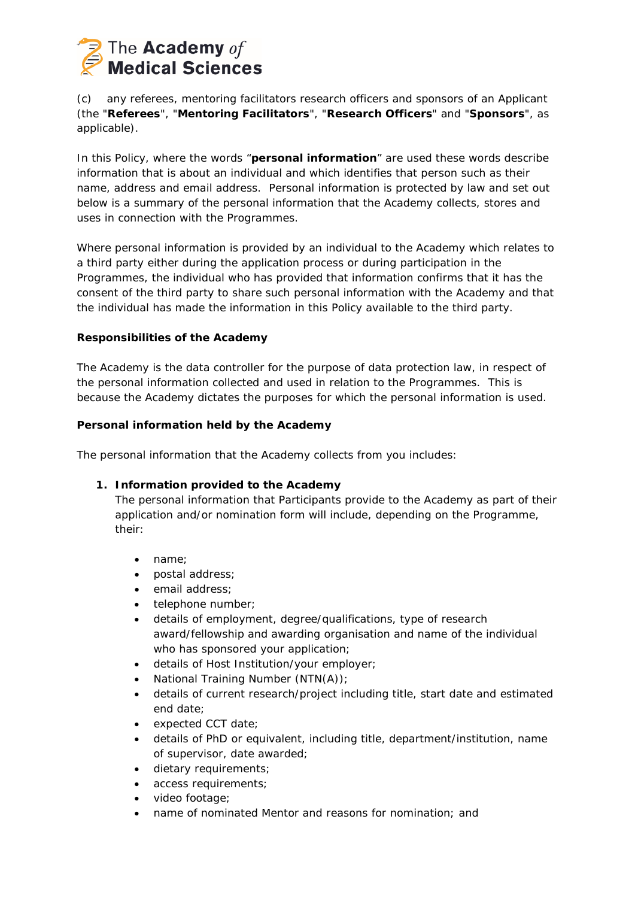

(c) any referees, mentoring facilitators research officers and sponsors of an Applicant (the "**Referees**", "**Mentoring Facilitators**", "**Research Officers**" and "**Sponsors**", as applicable).

In this Policy, where the words "**personal information**" are used these words describe information that is about an individual and which identifies that person such as their name, address and email address. Personal information is protected by law and set out below is a summary of the personal information that the Academy collects, stores and uses in connection with the Programmes.

Where personal information is provided by an individual to the Academy which relates to a third party either during the application process or during participation in the Programmes, the individual who has provided that information confirms that it has the consent of the third party to share such personal information with the Academy and that the individual has made the information in this Policy available to the third party.

# **Responsibilities of the Academy**

The Academy is the data controller for the purpose of data protection law, in respect of the personal information collected and used in relation to the Programmes. This is because the Academy dictates the purposes for which the personal information is used.

#### **Personal information held by the Academy**

The personal information that the Academy collects from you includes:

# **1. Information provided to the Academy**

The personal information that Participants provide to the Academy as part of their application and/or nomination form will include, depending on the Programme, their:

- name;
- postal address;
- email address;
- telephone number;
- details of employment, degree/qualifications, type of research award/fellowship and awarding organisation and name of the individual who has sponsored your application;
- details of Host Institution/your employer;
- National Training Number (NTN(A));
- details of current research/project including title, start date and estimated end date;
- expected CCT date;
- details of PhD or equivalent, including title, department/institution, name of supervisor, date awarded;
- dietary requirements;
- access requirements;
- video footage;
- name of nominated Mentor and reasons for nomination; and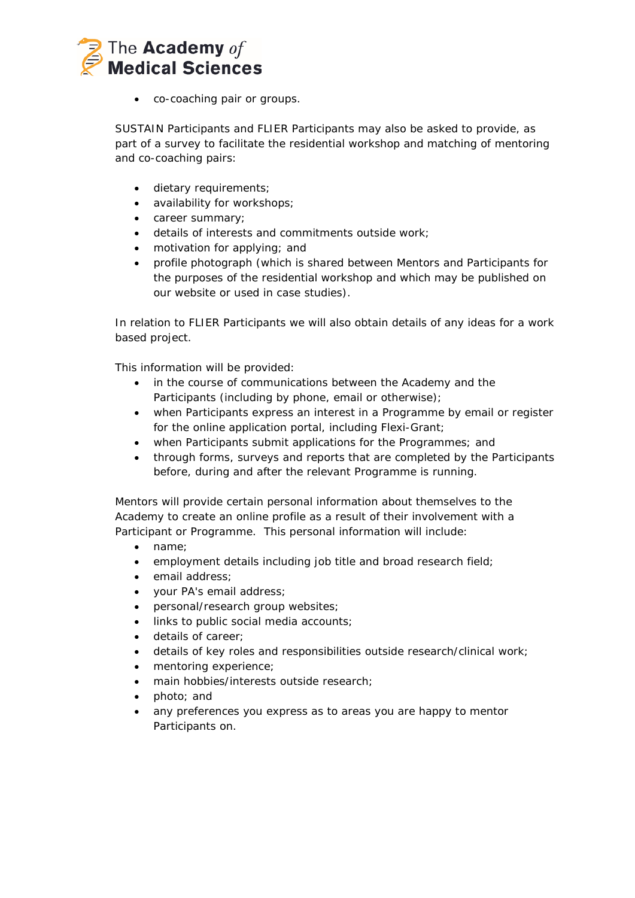

• co-coaching pair or groups.

SUSTAIN Participants and FLIER Participants may also be asked to provide, as part of a survey to facilitate the residential workshop and matching of mentoring and co-coaching pairs:

- dietary requirements;
- availability for workshops;
- career summary;
- details of interests and commitments outside work;
- motivation for applying; and
- profile photograph (which is shared between Mentors and Participants for the purposes of the residential workshop and which may be published on our website or used in case studies).

In relation to FLIER Participants we will also obtain details of any ideas for a work based project.

This information will be provided:

- in the course of communications between the Academy and the Participants (including by phone, email or otherwise);
- when Participants express an interest in a Programme by email or register for the online application portal, including Flexi-Grant;
- when Participants submit applications for the Programmes; and
- through forms, surveys and reports that are completed by the Participants before, during and after the relevant Programme is running.

Mentors will provide certain personal information about themselves to the Academy to create an online profile as a result of their involvement with a Participant or Programme. This personal information will include:

- name;
- employment details including job title and broad research field;
- email address;
- your PA's email address;
- personal/research group websites;
- links to public social media accounts;
- details of career;
- details of key roles and responsibilities outside research/clinical work;
- mentoring experience;
- main hobbies/interests outside research;
- photo; and
- any preferences you express as to areas you are happy to mentor Participants on.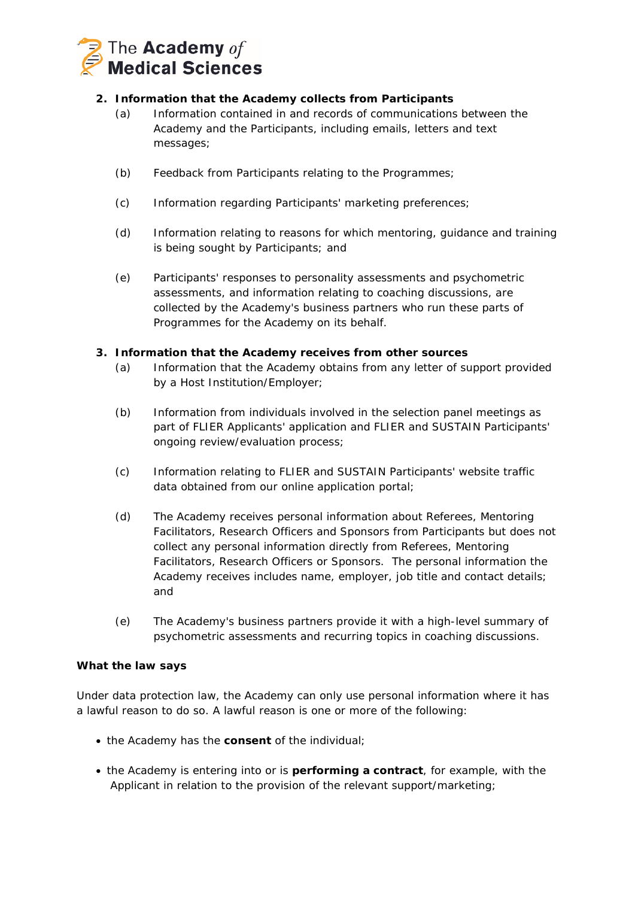

# **2. Information that the Academy collects from Participants**

- (a) Information contained in and records of communications between the Academy and the Participants, including emails, letters and text messages;
- (b) Feedback from Participants relating to the Programmes;
- (c) Information regarding Participants' marketing preferences;
- (d) Information relating to reasons for which mentoring, guidance and training is being sought by Participants; and
- (e) Participants' responses to personality assessments and psychometric assessments, and information relating to coaching discussions, are collected by the Academy's business partners who run these parts of Programmes for the Academy on its behalf.

# **3. Information that the Academy receives from other sources**

- (a) Information that the Academy obtains from any letter of support provided by a Host Institution/Employer;
- (b) Information from individuals involved in the selection panel meetings as part of FLIER Applicants' application and FLIER and SUSTAIN Participants' ongoing review/evaluation process;
- (c) Information relating to FLIER and SUSTAIN Participants' website traffic data obtained from our online application portal;
- (d) The Academy receives personal information about Referees, Mentoring Facilitators, Research Officers and Sponsors from Participants but does not collect any personal information directly from Referees, Mentoring Facilitators, Research Officers or Sponsors. The personal information the Academy receives includes name, employer, job title and contact details; and
- (e) The Academy's business partners provide it with a high-level summary of psychometric assessments and recurring topics in coaching discussions.

# **What the law says**

Under data protection law, the Academy can only use personal information where it has a lawful reason to do so. A lawful reason is one or more of the following:

- the Academy has the **consent** of the individual;
- the Academy is entering into or is **performing a contract**, for example, with the Applicant in relation to the provision of the relevant support/marketing;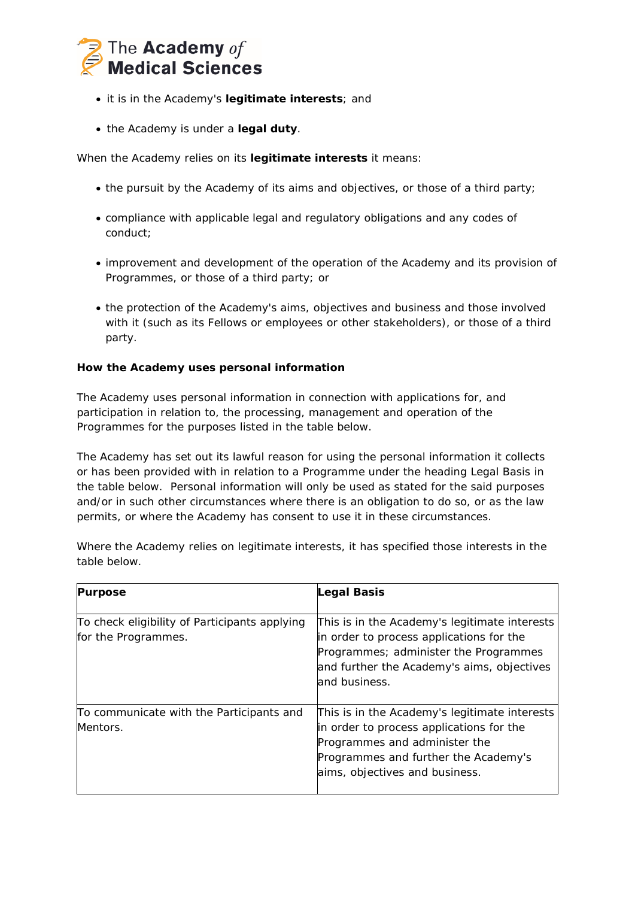

- it is in the Academy's **legitimate interests**; and
- the Academy is under a **legal duty**.

When the Academy relies on its **legitimate interests** it means:

- the pursuit by the Academy of its aims and objectives, or those of a third party;
- compliance with applicable legal and regulatory obligations and any codes of conduct;
- improvement and development of the operation of the Academy and its provision of Programmes, or those of a third party; or
- the protection of the Academy's aims, objectives and business and those involved with it (such as its Fellows or employees or other stakeholders), or those of a third party.

# **How the Academy uses personal information**

The Academy uses personal information in connection with applications for, and participation in relation to, the processing, management and operation of the Programmes for the purposes listed in the table below.

The Academy has set out its lawful reason for using the personal information it collects or has been provided with in relation to a Programme under the heading Legal Basis in the table below. Personal information will only be used as stated for the said purposes and/or in such other circumstances where there is an obligation to do so, or as the law permits, or where the Academy has consent to use it in these circumstances.

Where the Academy relies on legitimate interests, it has specified those interests in the table below.

| <b>Purpose</b>                                                       | <b>Legal Basis</b>                                                                                                                                                                                   |
|----------------------------------------------------------------------|------------------------------------------------------------------------------------------------------------------------------------------------------------------------------------------------------|
| To check eligibility of Participants applying<br>for the Programmes. | This is in the Academy's legitimate interests<br>in order to process applications for the<br>Programmes; administer the Programmes<br>and further the Academy's aims, objectives<br>and business.    |
| To communicate with the Participants and<br>Mentors.                 | This is in the Academy's legitimate interests<br>in order to process applications for the<br>Programmes and administer the<br>Programmes and further the Academy's<br>aims, objectives and business. |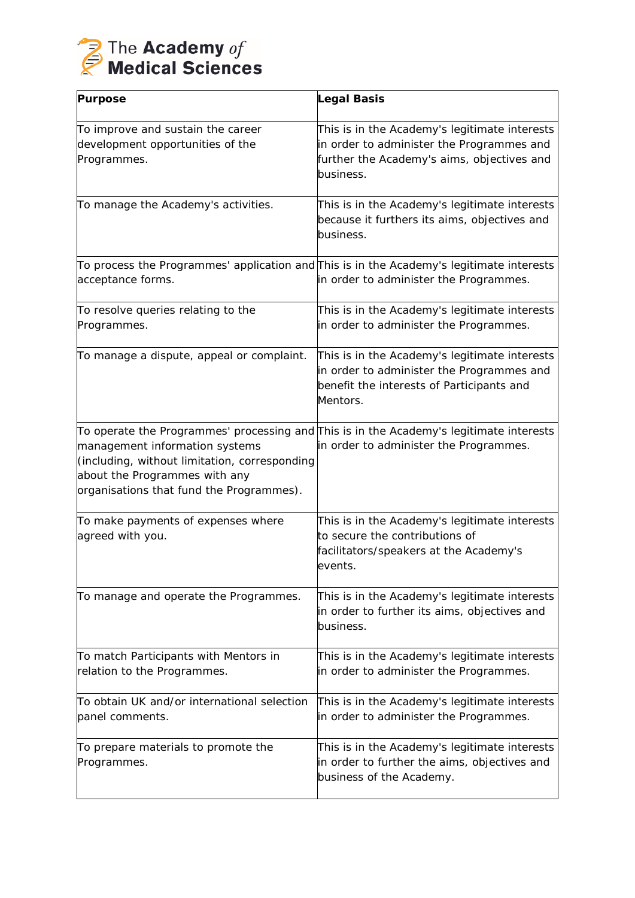

| <b>Purpose</b>                                                                                                                                               | Legal Basis                                                                                                                                                                |
|--------------------------------------------------------------------------------------------------------------------------------------------------------------|----------------------------------------------------------------------------------------------------------------------------------------------------------------------------|
| To improve and sustain the career<br>development opportunities of the<br>Programmes.                                                                         | This is in the Academy's legitimate interests<br>in order to administer the Programmes and<br>further the Academy's aims, objectives and<br>business.                      |
| To manage the Academy's activities.                                                                                                                          | This is in the Academy's legitimate interests<br>because it furthers its aims, objectives and<br>business.                                                                 |
| acceptance forms.                                                                                                                                            | $\textsf{T}\textup{o}$ process the Programmes' application and $\textsf{T}\textup{his}$ is in the Academy's legitimate interests<br>in order to administer the Programmes. |
| To resolve queries relating to the<br>Programmes.                                                                                                            | This is in the Academy's legitimate interests<br>in order to administer the Programmes.                                                                                    |
| To manage a dispute, appeal or complaint.                                                                                                                    | This is in the Academy's legitimate interests<br>in order to administer the Programmes and<br>benefit the interests of Participants and<br>Mentors.                        |
| management information systems<br>(including, without limitation, corresponding<br>about the Programmes with any<br>organisations that fund the Programmes). | ∏o operate the Programmes' processing and∏his is in the Academy's legitimate interests<br>in order to administer the Programmes.                                           |
| To make payments of expenses where<br>agreed with you.                                                                                                       | This is in the Academy's legitimate interests<br>to secure the contributions of<br>facilitators/speakers at the Academy's<br>events.                                       |
| To manage and operate the Programmes.                                                                                                                        | This is in the Academy's legitimate interests<br>in order to further its aims, objectives and<br>business.                                                                 |
| To match Participants with Mentors in<br>relation to the Programmes.                                                                                         | This is in the Academy's legitimate interests<br>in order to administer the Programmes.                                                                                    |
| To obtain UK and/or international selection<br>panel comments.                                                                                               | This is in the Academy's legitimate interests<br>in order to administer the Programmes.                                                                                    |
| To prepare materials to promote the<br>Programmes.                                                                                                           | This is in the Academy's legitimate interests<br>in order to further the aims, objectives and<br>business of the Academy.                                                  |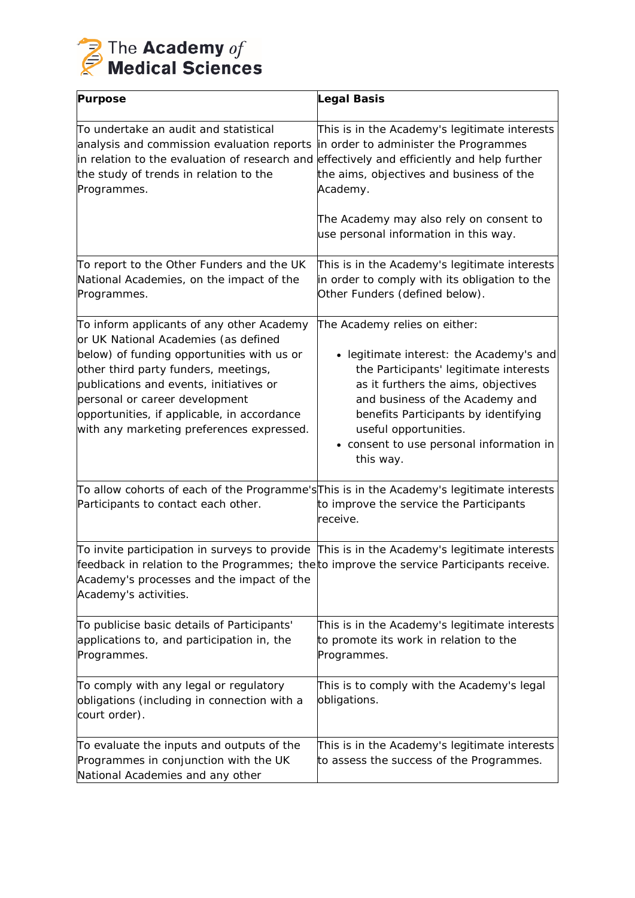

| <b>Purpose</b>                                                                                                                                                                                                                                                                                                                                   | <b>Legal Basis</b>                                                                                                                                                                                                                                                                                                      |
|--------------------------------------------------------------------------------------------------------------------------------------------------------------------------------------------------------------------------------------------------------------------------------------------------------------------------------------------------|-------------------------------------------------------------------------------------------------------------------------------------------------------------------------------------------------------------------------------------------------------------------------------------------------------------------------|
| To undertake an audit and statistical<br>analysis and commission evaluation reports<br>in relation to the evaluation of research and<br>the study of trends in relation to the<br>Programmes.                                                                                                                                                    | This is in the Academy's legitimate interests<br>in order to administer the Programmes<br>effectively and efficiently and help further<br>the aims, objectives and business of the<br>Academy.                                                                                                                          |
|                                                                                                                                                                                                                                                                                                                                                  | The Academy may also rely on consent to<br>use personal information in this way.                                                                                                                                                                                                                                        |
| To report to the Other Funders and the UK<br>National Academies, on the impact of the<br>Programmes.                                                                                                                                                                                                                                             | This is in the Academy's legitimate interests<br>in order to comply with its obligation to the<br>Other Funders (defined below).                                                                                                                                                                                        |
| To inform applicants of any other Academy<br>or UK National Academies (as defined<br>below) of funding opportunities with us or<br>other third party funders, meetings,<br>publications and events, initiatives or<br>personal or career development<br>opportunities, if applicable, in accordance<br>with any marketing preferences expressed. | The Academy relies on either:<br>• legitimate interest: the Academy's and<br>the Participants' legitimate interests<br>as it furthers the aims, objectives<br>and business of the Academy and<br>benefits Participants by identifying<br>useful opportunities.<br>• consent to use personal information in<br>this way. |
| Participants to contact each other.                                                                                                                                                                                                                                                                                                              | To allow cohorts of each of the Programme's This is in the Academy's legitimate interests<br>to improve the service the Participants<br>receive.                                                                                                                                                                        |
| feedback in relation to the Programmes; the to improve the service Participants receive.<br>Academy's processes and the impact of the<br>Academy's activities.                                                                                                                                                                                   | To invite participation in surveys to provide $\parallel$ This is in the Academy's legitimate interests                                                                                                                                                                                                                 |
| To publicise basic details of Participants'<br>applications to, and participation in, the<br>Programmes.                                                                                                                                                                                                                                         | This is in the Academy's legitimate interests<br>to promote its work in relation to the<br>Programmes.                                                                                                                                                                                                                  |
| To comply with any legal or regulatory<br>obligations (including in connection with a<br>court order).                                                                                                                                                                                                                                           | This is to comply with the Academy's legal<br>obligations.                                                                                                                                                                                                                                                              |
| To evaluate the inputs and outputs of the<br>Programmes in conjunction with the UK<br>National Academies and any other                                                                                                                                                                                                                           | This is in the Academy's legitimate interests<br>to assess the success of the Programmes.                                                                                                                                                                                                                               |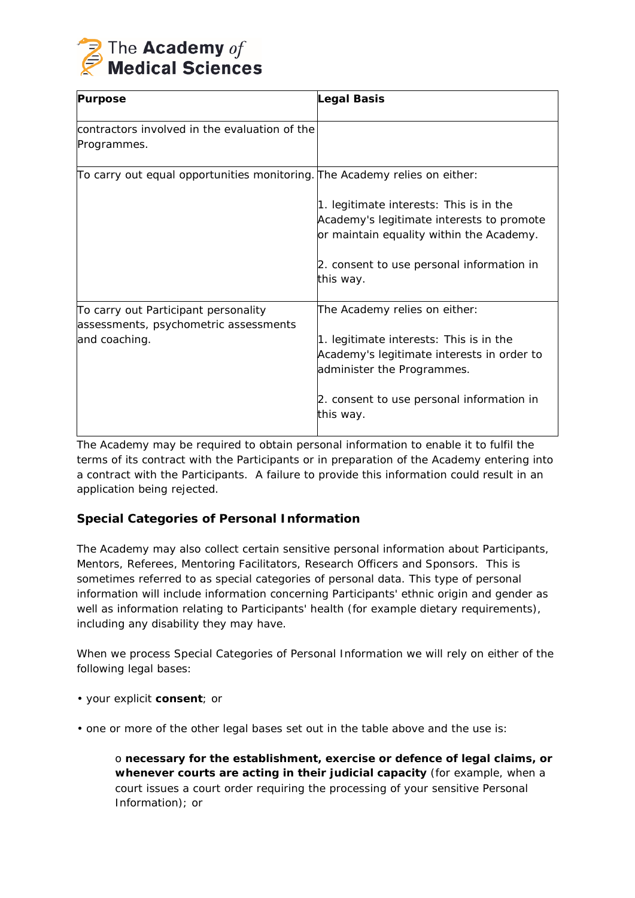

| <b>Purpose</b>                                                                                 | Legal Basis                                                                                                                                                                                                    |
|------------------------------------------------------------------------------------------------|----------------------------------------------------------------------------------------------------------------------------------------------------------------------------------------------------------------|
| contractors involved in the evaluation of the<br>Programmes.                                   |                                                                                                                                                                                                                |
| To carry out equal opportunities monitoring. The Academy relies on either:                     | 1. legitimate interests: This is in the<br>Academy's legitimate interests to promote<br>or maintain equality within the Academy.<br>2. consent to use personal information in<br>this way.                     |
| To carry out Participant personality<br>assessments, psychometric assessments<br>and coaching. | The Academy relies on either:<br>1. legitimate interests: This is in the<br>Academy's legitimate interests in order to<br>administer the Programmes.<br>2. consent to use personal information in<br>this way. |

The Academy may be required to obtain personal information to enable it to fulfil the terms of its contract with the Participants or in preparation of the Academy entering into a contract with the Participants. A failure to provide this information could result in an application being rejected.

# **Special Categories of Personal Information**

The Academy may also collect certain sensitive personal information about Participants, Mentors, Referees, Mentoring Facilitators, Research Officers and Sponsors. This is sometimes referred to as special categories of personal data. This type of personal information will include information concerning Participants' ethnic origin and gender as well as information relating to Participants' health (for example dietary requirements), including any disability they may have.

When we process Special Categories of Personal Information we will rely on either of the following legal bases:

- your explicit **consent**; or
- one or more of the other legal bases set out in the table above and the use is:

o **necessary for the establishment, exercise or defence of legal claims, or whenever courts are acting in their judicial capacity** (for example, when a court issues a court order requiring the processing of your sensitive Personal Information); or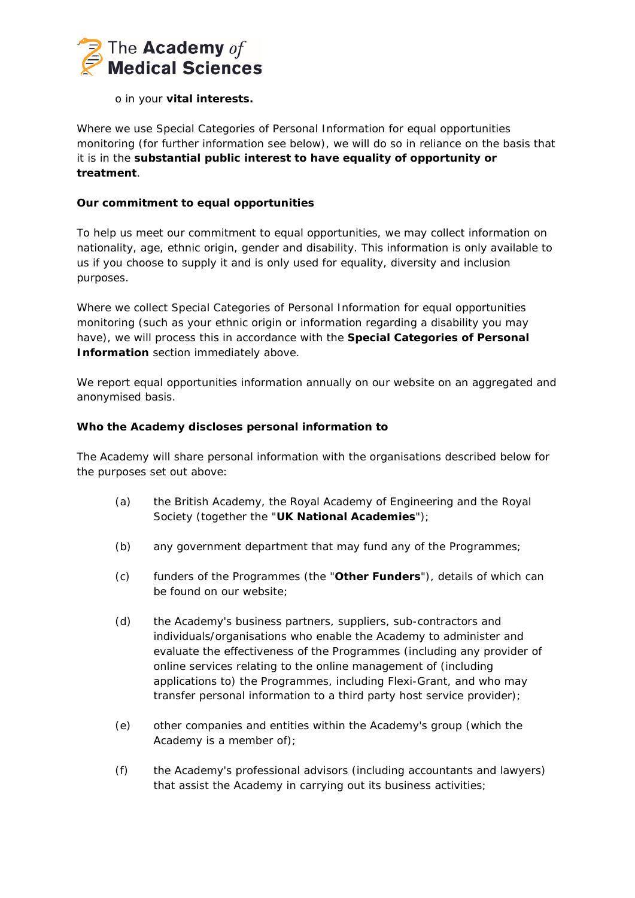

# o in your **vital interests.**

Where we use Special Categories of Personal Information for equal opportunities monitoring (for further information see below), we will do so in reliance on the basis that it is in the **substantial public interest to have equality of opportunity or treatment**.

# **Our commitment to equal opportunities**

To help us meet our commitment to equal opportunities, we may collect information on nationality, age, ethnic origin, gender and disability. This information is only available to us if you choose to supply it and is only used for equality, diversity and inclusion purposes.

Where we collect Special Categories of Personal Information for equal opportunities monitoring (such as your ethnic origin or information regarding a disability you may have), we will process this in accordance with the **Special Categories of Personal Information** section immediately above.

We report equal opportunities information annually on our website on an aggregated and anonymised basis.

# **Who the Academy discloses personal information to**

The Academy will share personal information with the organisations described below for the purposes set out above:

- (a) the British Academy, the Royal Academy of Engineering and the Royal Society (together the "**UK National Academies**");
- (b) any government department that may fund any of the Programmes;
- (c) funders of the Programmes (the "**Other Funders**"), details of which can be found on our website;
- (d) the Academy's business partners, suppliers, sub-contractors and individuals/organisations who enable the Academy to administer and evaluate the effectiveness of the Programmes (including any provider of online services relating to the online management of (including applications to) the Programmes, including Flexi-Grant, and who may transfer personal information to a third party host service provider);
- (e) other companies and entities within the Academy's group (which the Academy is a member of);
- (f) the Academy's professional advisors (including accountants and lawyers) that assist the Academy in carrying out its business activities;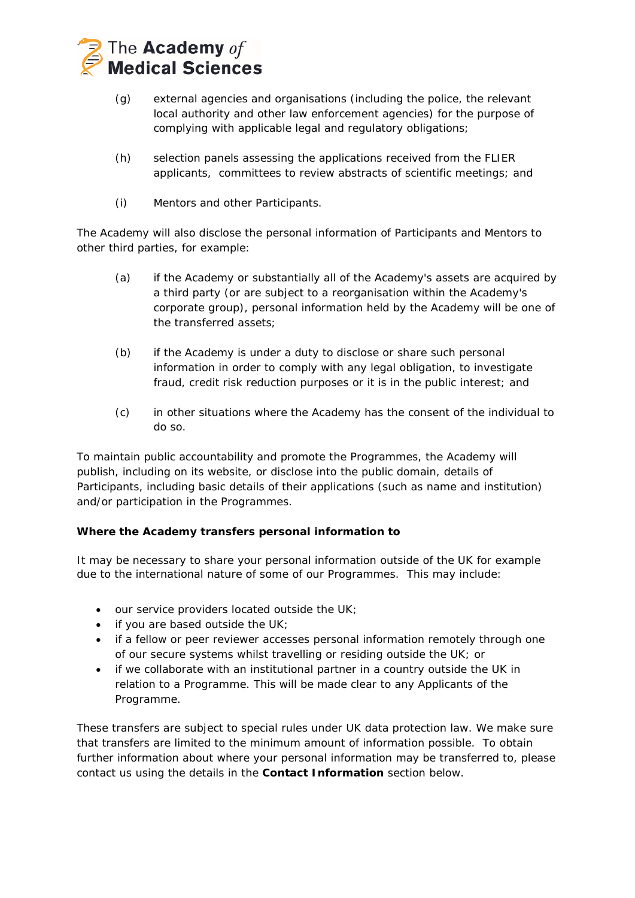

- (g) external agencies and organisations (including the police, the relevant local authority and other law enforcement agencies) for the purpose of complying with applicable legal and regulatory obligations;
- (h) selection panels assessing the applications received from the FLIER applicants, committees to review abstracts of scientific meetings; and
- (i) Mentors and other Participants.

The Academy will also disclose the personal information of Participants and Mentors to other third parties, for example:

- (a) if the Academy or substantially all of the Academy's assets are acquired by a third party (or are subject to a reorganisation within the Academy's corporate group), personal information held by the Academy will be one of the transferred assets;
- (b) if the Academy is under a duty to disclose or share such personal information in order to comply with any legal obligation, to investigate fraud, credit risk reduction purposes or it is in the public interest; and
- (c) in other situations where the Academy has the consent of the individual to do so.

To maintain public accountability and promote the Programmes, the Academy will publish, including on its website, or disclose into the public domain, details of Participants, including basic details of their applications (such as name and institution) and/or participation in the Programmes.

# **Where the Academy transfers personal information to**

It may be necessary to share your personal information outside of the UK for example due to the international nature of some of our Programmes. This may include:

- our service providers located outside the UK;
- if you are based outside the UK;
- if a fellow or peer reviewer accesses personal information remotely through one of our secure systems whilst travelling or residing outside the UK; or
- if we collaborate with an institutional partner in a country outside the UK in relation to a Programme. This will be made clear to any Applicants of the Programme.

These transfers are subject to special rules under UK data protection law. We make sure that transfers are limited to the minimum amount of information possible. To obtain further information about where your personal information may be transferred to, please contact us using the details in the **Contact Information** section below.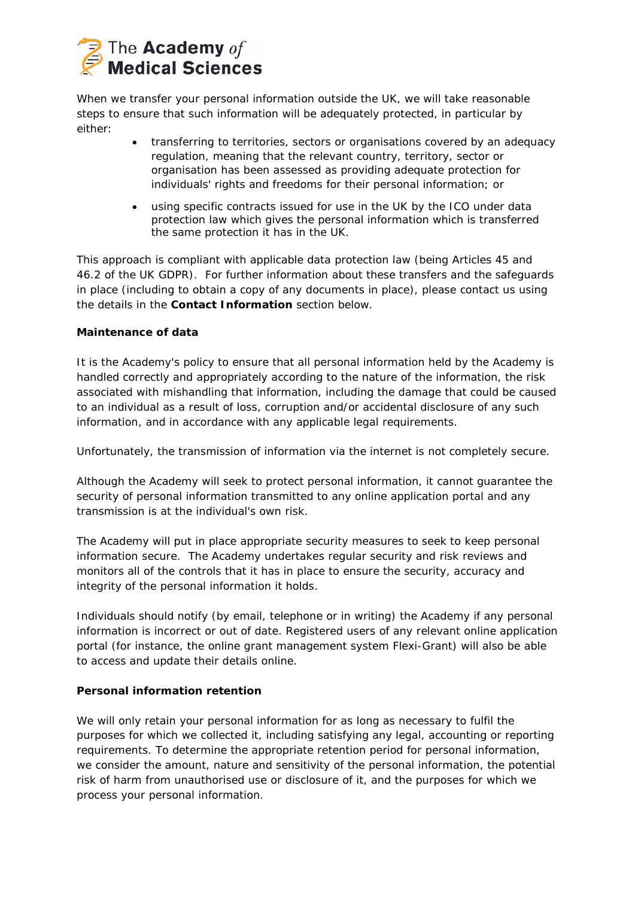

When we transfer your personal information outside the UK, we will take reasonable steps to ensure that such information will be adequately protected, in particular by either:

- transferring to territories, sectors or organisations covered by an adequacy regulation, meaning that the relevant country, territory, sector or organisation has been assessed as providing adequate protection for individuals' rights and freedoms for their personal information; or
- using specific contracts issued for use in the UK by the ICO under data protection law which gives the personal information which is transferred the same protection it has in the UK.

This approach is compliant with applicable data protection law (being Articles 45 and 46.2 of the UK GDPR). For further information about these transfers and the safeguards in place (including to obtain a copy of any documents in place), please contact us using the details in the **Contact Information** section below.

# **Maintenance of data**

It is the Academy's policy to ensure that all personal information held by the Academy is handled correctly and appropriately according to the nature of the information, the risk associated with mishandling that information, including the damage that could be caused to an individual as a result of loss, corruption and/or accidental disclosure of any such information, and in accordance with any applicable legal requirements.

Unfortunately, the transmission of information via the internet is not completely secure.

Although the Academy will seek to protect personal information, it cannot guarantee the security of personal information transmitted to any online application portal and any transmission is at the individual's own risk.

The Academy will put in place appropriate security measures to seek to keep personal information secure. The Academy undertakes regular security and risk reviews and monitors all of the controls that it has in place to ensure the security, accuracy and integrity of the personal information it holds.

Individuals should notify (by email, telephone or in writing) the Academy if any personal information is incorrect or out of date. Registered users of any relevant online application portal (for instance, the online grant management system Flexi-Grant) will also be able to access and update their details online.

# **Personal information retention**

We will only retain your personal information for as long as necessary to fulfil the purposes for which we collected it, including satisfying any legal, accounting or reporting requirements. To determine the appropriate retention period for personal information, we consider the amount, nature and sensitivity of the personal information, the potential risk of harm from unauthorised use or disclosure of it, and the purposes for which we process your personal information.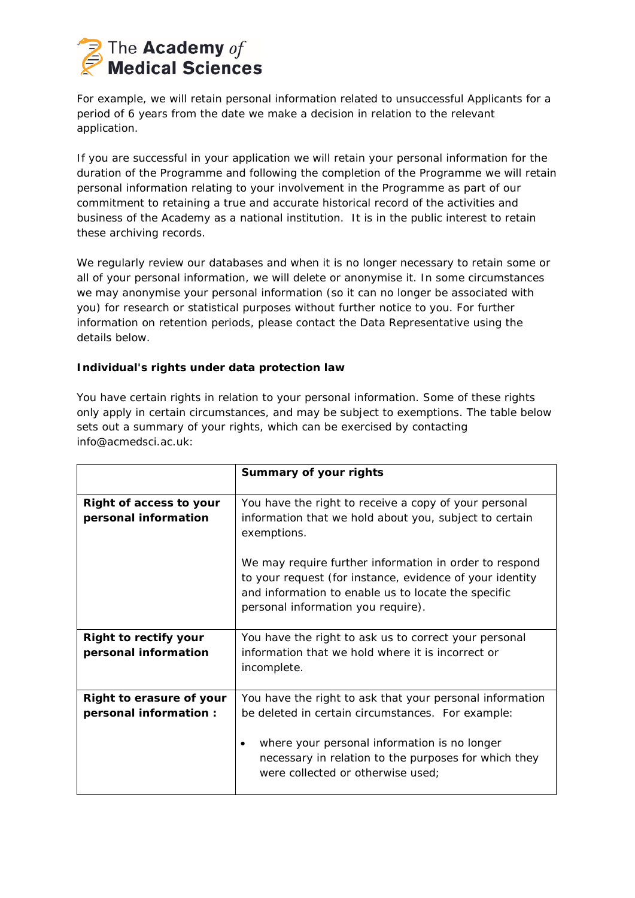

For example, we will retain personal information related to unsuccessful Applicants for a period of 6 years from the date we make a decision in relation to the relevant application.

If you are successful in your application we will retain your personal information for the duration of the Programme and following the completion of the Programme we will retain personal information relating to your involvement in the Programme as part of our commitment to retaining a true and accurate historical record of the activities and business of the Academy as a national institution. It is in the public interest to retain these archiving records.

We regularly review our databases and when it is no longer necessary to retain some or all of your personal information, we will delete or anonymise it. In some circumstances we may anonymise your personal information (so it can no longer be associated with you) for research or statistical purposes without further notice to you. For further information on retention periods, please contact the Data Representative using the details below.

# **Individual's rights under data protection law**

You have certain rights in relation to your personal information. Some of these rights only apply in certain circumstances, and may be subject to exemptions. The table below sets out a summary of your rights, which can be exercised by contacting info@acmedsci.ac.uk:

|                                                      | Summary of your rights                                                                                                                                                                                                                                     |
|------------------------------------------------------|------------------------------------------------------------------------------------------------------------------------------------------------------------------------------------------------------------------------------------------------------------|
| Right of access to your<br>personal information      | You have the right to receive a copy of your personal<br>information that we hold about you, subject to certain<br>exemptions.                                                                                                                             |
|                                                      | We may require further information in order to respond<br>to your request (for instance, evidence of your identity<br>and information to enable us to locate the specific<br>personal information you require).                                            |
| <b>Right to rectify your</b><br>personal information | You have the right to ask us to correct your personal<br>information that we hold where it is incorrect or<br>incomplete.                                                                                                                                  |
| Right to erasure of your<br>personal information :   | You have the right to ask that your personal information<br>be deleted in certain circumstances. For example:<br>where your personal information is no longer<br>necessary in relation to the purposes for which they<br>were collected or otherwise used; |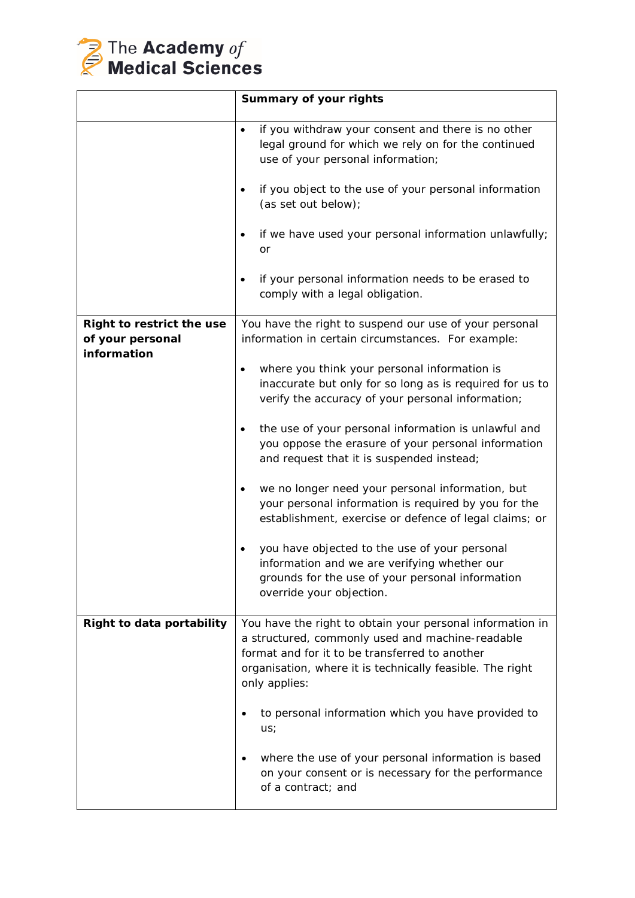

|                           | Summary of your rights                                                                                                                                                                                                                        |
|---------------------------|-----------------------------------------------------------------------------------------------------------------------------------------------------------------------------------------------------------------------------------------------|
|                           | if you withdraw your consent and there is no other<br>$\bullet$<br>legal ground for which we rely on for the continued<br>use of your personal information;<br>if you object to the use of your personal information<br>(as set out below);   |
|                           | if we have used your personal information unlawfully;<br>or<br>if your personal information needs to be erased to<br>comply with a legal obligation.                                                                                          |
| Right to restrict the use | You have the right to suspend our use of your personal                                                                                                                                                                                        |
| of your personal          | information in certain circumstances. For example:                                                                                                                                                                                            |
| information               | where you think your personal information is<br>inaccurate but only for so long as is required for us to<br>verify the accuracy of your personal information;                                                                                 |
|                           | the use of your personal information is unlawful and<br>$\bullet$<br>you oppose the erasure of your personal information<br>and request that it is suspended instead;                                                                         |
|                           | we no longer need your personal information, but<br>$\bullet$<br>your personal information is required by you for the<br>establishment, exercise or defence of legal claims; or                                                               |
|                           | you have objected to the use of your personal<br>information and we are verifying whether our<br>grounds for the use of your personal information<br>override your objection.                                                                 |
| Right to data portability | You have the right to obtain your personal information in<br>a structured, commonly used and machine-readable<br>format and for it to be transferred to another<br>organisation, where it is technically feasible. The right<br>only applies: |
|                           | to personal information which you have provided to<br>us;                                                                                                                                                                                     |
|                           | where the use of your personal information is based<br>on your consent or is necessary for the performance<br>of a contract; and                                                                                                              |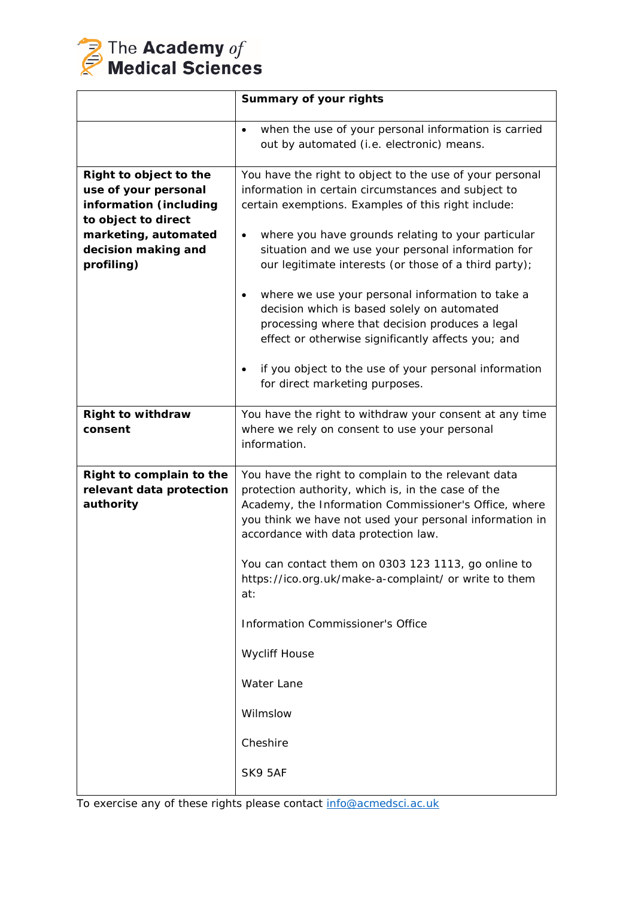

| Summary of your rights                                                                                                                                                                                                                                                                                                                                                                                                                                                                                                                                                                                                                                                       |
|------------------------------------------------------------------------------------------------------------------------------------------------------------------------------------------------------------------------------------------------------------------------------------------------------------------------------------------------------------------------------------------------------------------------------------------------------------------------------------------------------------------------------------------------------------------------------------------------------------------------------------------------------------------------------|
| when the use of your personal information is carried<br>$\bullet$<br>out by automated (i.e. electronic) means.                                                                                                                                                                                                                                                                                                                                                                                                                                                                                                                                                               |
| You have the right to object to the use of your personal<br>information in certain circumstances and subject to<br>certain exemptions. Examples of this right include:<br>where you have grounds relating to your particular<br>$\bullet$<br>situation and we use your personal information for<br>our legitimate interests (or those of a third party);<br>where we use your personal information to take a<br>$\bullet$<br>decision which is based solely on automated<br>processing where that decision produces a legal<br>effect or otherwise significantly affects you; and<br>if you object to the use of your personal information<br>for direct marketing purposes. |
| You have the right to withdraw your consent at any time<br>where we rely on consent to use your personal<br>information.                                                                                                                                                                                                                                                                                                                                                                                                                                                                                                                                                     |
| You have the right to complain to the relevant data<br>protection authority, which is, in the case of the<br>Academy, the Information Commissioner's Office, where<br>you think we have not used your personal information in<br>accordance with data protection law.<br>You can contact them on 0303 123 1113, go online to<br>https://ico.org.uk/make-a-complaint/ or write to them<br>at:<br>Information Commissioner's Office<br><b>Wycliff House</b><br>Water Lane<br>Wilmslow<br>Cheshire<br>SK9 5AF                                                                                                                                                                   |
|                                                                                                                                                                                                                                                                                                                                                                                                                                                                                                                                                                                                                                                                              |

To exercise any of these rights please contact [info@acmedsci.ac.uk](mailto:info@acmedsci.ac.uk)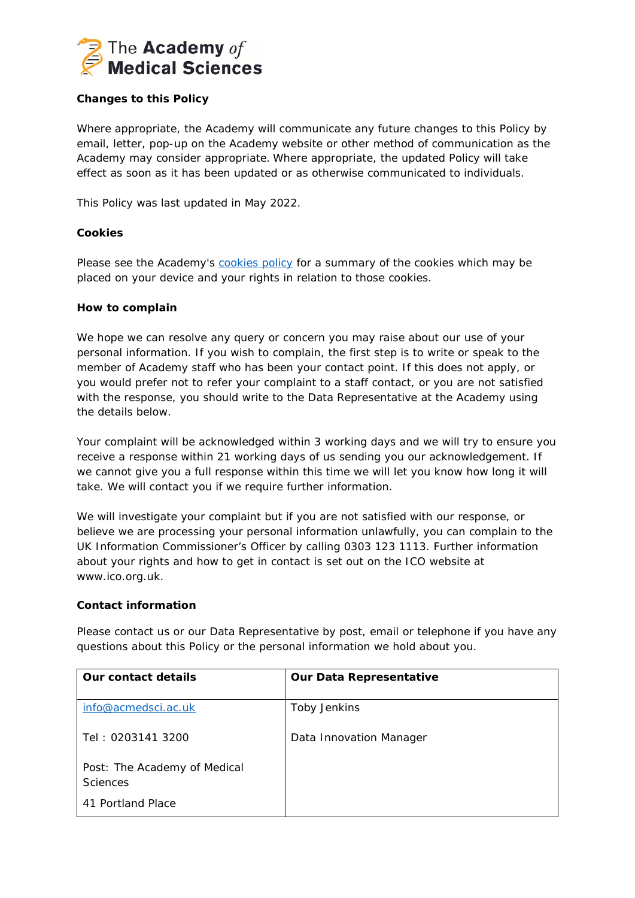

# **Changes to this Policy**

Where appropriate, the Academy will communicate any future changes to this Policy by email, letter, pop-up on the Academy website or other method of communication as the Academy may consider appropriate. Where appropriate, the updated Policy will take effect as soon as it has been updated or as otherwise communicated to individuals.

This Policy was last updated in May 2022.

# **Cookies**

Please see the Academy's [cookies policy](https://acmedsci.ac.uk/cookie-policy) for a summary of the cookies which may be placed on your device and your rights in relation to those cookies.

#### **How to complain**

We hope we can resolve any query or concern you may raise about our use of your personal information. If you wish to complain, the first step is to write or speak to the member of Academy staff who has been your contact point. If this does not apply, or you would prefer not to refer your complaint to a staff contact, or you are not satisfied with the response, you should write to the Data Representative at the Academy using the details below.

Your complaint will be acknowledged within 3 working days and we will try to ensure you receive a response within 21 working days of us sending you our acknowledgement. If we cannot give you a full response within this time we will let you know how long it will take. We will contact you if we require further information.

We will investigate your complaint but if you are not satisfied with our response, or believe we are processing your personal information unlawfully, you can complain to the UK Information Commissioner's Officer by calling 0303 123 1113. Further information about your rights and how to get in contact is set out on the ICO website at www.ico.org.uk.

#### **Contact information**

Please contact us or our Data Representative by post, email or telephone if you have any questions about this Policy or the personal information we hold about you.

| Our contact details                             | <b>Our Data Representative</b> |
|-------------------------------------------------|--------------------------------|
| info@acmedsci.ac.uk                             | Toby Jenkins                   |
| Tel: 0203141 3200                               | Data Innovation Manager        |
| Post: The Academy of Medical<br><b>Sciences</b> |                                |
| 41 Portland Place                               |                                |